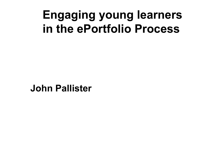## **Engaging young learners in the ePortfolio Process**

**John Pallister**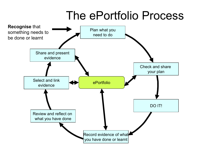## The ePortfolio Process

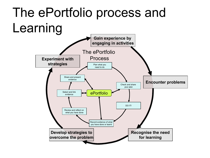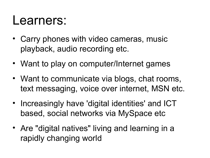### Learners:

- Carry phones with video cameras, music playback, audio recording etc.
- Want to play on computer/Internet games
- Want to communicate via blogs, chat rooms, text messaging, voice over internet, MSN etc.
- Increasingly have 'digital identities' and ICT based, social networks via MySpace etc
- Are "digital natives" living and learning in a rapidly changing world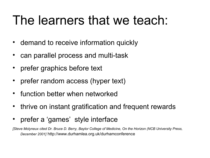# The learners that we teach:

- demand to receive information quickly
- can parallel process and multi-task
- prefer graphics before text
- prefer random access (hyper text)
- function better when networked
- thrive on instant gratification and frequent rewards
- prefer a 'games' style interface

*[Steve Molyneux cited Dr. Bruce D. Berry, Baylor College of Medicine, On the Horizon (NCB University Press, December 2001]* http://www.durhamlea.org.uk/durhamconference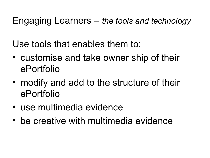Engaging Learners – *the tools and technology*

Use tools that enables them to:

- customise and take owner ship of their ePortfolio
- modify and add to the structure of their ePortfolio
- use multimedia evidence
- be creative with multimedia evidence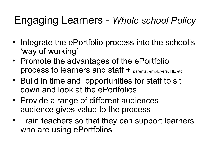### Engaging Learners - *Whole school Policy*

- Integrate the ePortfolio process into the school's 'way of working'
- Promote the advantages of the ePortfolio process to learners and staff + parents, employers, HE etc
- Build in time and opportunities for staff to sit down and look at the ePortfolios
- Provide a range of different audiences audience gives value to the process
- Train teachers so that they can support learners who are using ePortfolios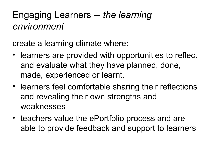#### Engaging Learners – *the learning environment*

create a learning climate where:

- learners are provided with opportunities to reflect and evaluate what they have planned, done, made, experienced or learnt.
- learners feel comfortable sharing their reflections and revealing their own strengths and weaknesses
- teachers value the ePortfolio process and are able to provide feedback and support to learners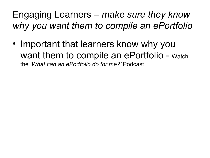#### Engaging Learners – *make sure they know why you want them to compile an ePortfolio*

• Important that learners know why you want them to compile an ePortfolio - Watch the *'What can an ePortfolio do for me?'* Podcast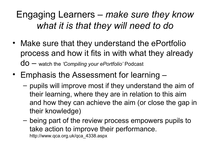#### Engaging Learners – *make sure they know what it is that they will need to do*

- Make sure that they understand the ePortfolio process and how it fits in with what they already do – watch the *'Compiling your ePortfolio'* Podcast
- Emphasis the Assessment for learning
	- pupils will improve most if they understand the aim of their learning, where they are in relation to this aim and how they can achieve the aim (or close the gap in their knowledge)
	- being part of the review process empowers pupils to take action to improve their performance. http://www.qca.org.uk/qca\_4338.aspx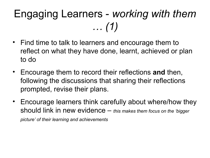## Engaging Learners - *working with them … (1)*

- Find time to talk to learners and encourage them to reflect on what they have done, learnt, achieved or plan to do
- Encourage them to record their reflections **and** then, following the discussions that sharing their reflections prompted, revise their plans.
- Encourage learners think carefully about where/how they should link in new evidence – *this makes them focus on the 'bigger picture' of their learning and achievements*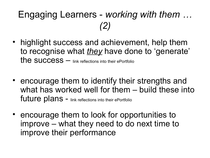#### Engaging Learners - *working with them … (2)*

- highlight success and achievement, help them to recognise what *they* have done to 'generate' the success – link reflections into their ePortfolio
- encourage them to identify their strengths and what has worked well for them – build these into future plans - link reflections into their ePortfolio
- encourage them to look for opportunities to improve – what they need to do next time to improve their performance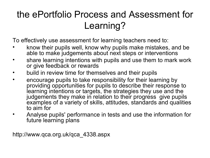#### the ePortfolio Process and Assessment for Learning?

To effectively use assessment for learning teachers need to:

- know their pupils well, know why pupils make mistakes, and be able to make judgements about next steps or interventions
- share learning intentions with pupils and use them to mark work or give feedback or rewards
- build in review time for themselves and their pupils
- encourage pupils to take responsibility for their learning by providing opportunities for pupils to describe their response to learning intentions or targets, the strategies they use and the judgements they make in relation to their progress give pupils examples of a variety of skills, attitudes, standards and qualities to aim for
- Analyse pupils' performance in tests and use the information for future learning plans

http://www.qca.org.uk/qca\_4338.aspx